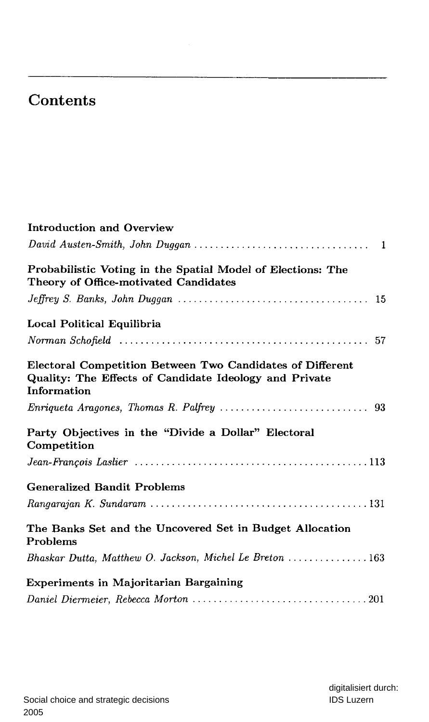## Contents

| Introduction and Overview                                                                                                          |
|------------------------------------------------------------------------------------------------------------------------------------|
|                                                                                                                                    |
| Probabilistic Voting in the Spatial Model of Elections: The<br>Theory of Office-motivated Candidates                               |
|                                                                                                                                    |
| Local Political Equilibria                                                                                                         |
|                                                                                                                                    |
| Electoral Competition Between Two Candidates of Different<br>Quality: The Effects of Candidate Ideology and Private<br>Information |
|                                                                                                                                    |
| Party Objectives in the "Divide a Dollar" Electoral<br>Competition                                                                 |
|                                                                                                                                    |
| <b>Generalized Bandit Problems</b>                                                                                                 |
|                                                                                                                                    |
| The Banks Set and the Uncovered Set in Budget Allocation<br>Problems                                                               |
| Bhaskar Dutta, Matthew O. Jackson, Michel Le Breton  163                                                                           |
| Experiments in Majoritarian Bargaining                                                                                             |
|                                                                                                                                    |